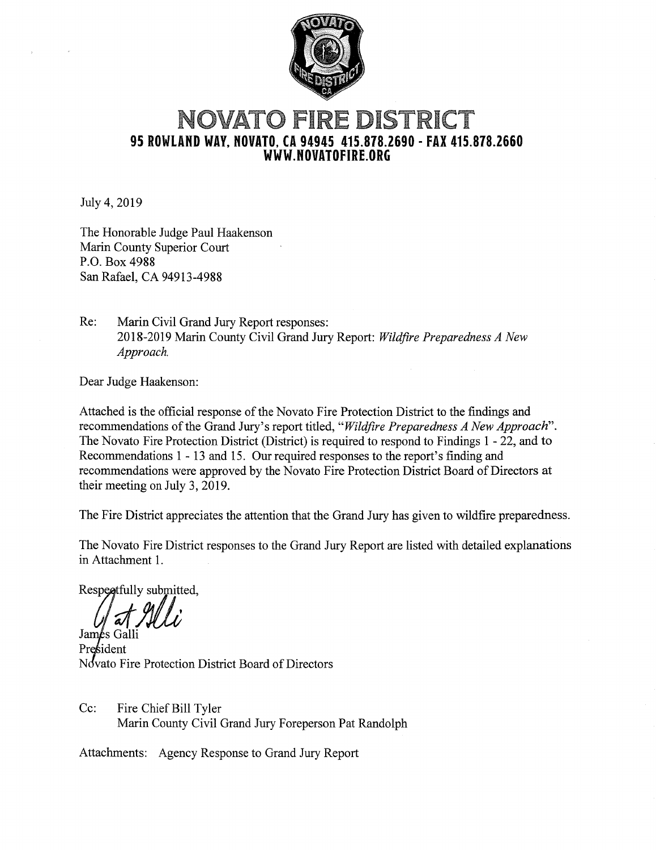

# **NOVATO FIRE DISTRICT 95 ROWLAND WAY, NOVATO, CA 94945 415.878.2690 - FAX 415.878.2660 WWW.NOVATOFIRE.ORG**

July 4, 2019

The Honorable Judge Paul Haakenson Marin County Superior Court P.O. Box 4988 San Rafael, CA 94913-4988

Re: Marin Civil Grand Jury Report responses: 2018-2019 Mann County Civil Grand Jury Report: *Wildfire Preparedness A New Approach.* 

Dear Judge Haakenson:

Attached is the official response of the Novato Fire Protection District to the findings and recommendations of the Grand Jury's report titled, *"Wildfire Preparedness A New Approach".*  The Novato Fire Protection District (District) is required to respond to Findings 1 - 22, and to Recommendations 1 - 13 and 15. Our required responses to the report's finding and recommendations were approved by the Novato Fire Protection District Board of Directors at their meeting on July 3, 2019.

The Fire District appreciates the attention that the Grand Jury has given to wildfire preparedness.

The Novato Fire District responses to the Grand Jury Report are listed with detailed explanations in Attachment 1.

Respectfully submitted,

James Galli President Novato Fire Protection District Board of Directors

Cc: Fire Chief Bill Tyler Marin County Civil Grand Jury Foreperson Pat Randolph

Attachments: Agency Response to Grand Jury Report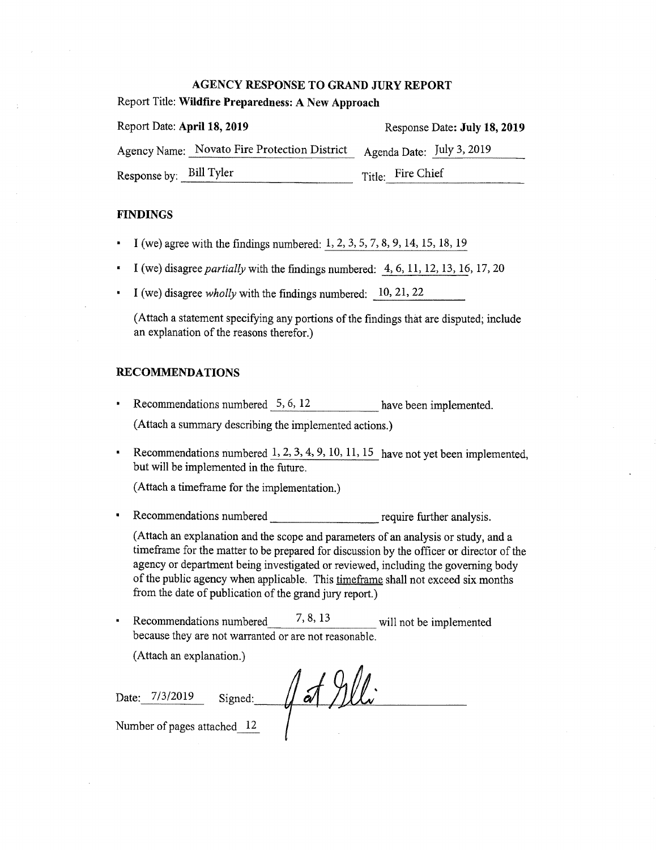#### **AGENCY RESPONSE TO GRAND JURY REPORT**

Report Title: **Wildfire Preparedness: A New Approach** 

| Report Date: April 18, 2019 |                                              | Response Date: July 18, 2019 |  |
|-----------------------------|----------------------------------------------|------------------------------|--|
|                             | Agency Name: Novato Fire Protection District | Agenda Date: July 3, 2019    |  |
| Response by: Bill Tyler     |                                              | Title: Fire Chief            |  |

#### **FINDINGS**

- **I** (we) agree with the findings numbered: 1, 2, 3, 5, 7, 8, 9, 14, 15, 18, 19
- I (we) disagree *partially* with the findings numbered: 4, 6, 11, 12, 13, 16, 17, 20
- I (we) disagree *wholly* with the findings numbered: 10, 21, 22

(Attach a statement specifying any portions of the findings that are disputed; include an explanation of the reasons therefor.)

#### **RECOMMENDATIONS**

- Recommendations numbered 5, 6, 12 have been implemented. (Attach a summary describing the implemented actions.)
- Execommendations numbered  $1, 2, 3, 4, 9, 10, 11, 15$  have not yet been implemented, but will be implemented in the future.

(Attach a timeframe for the implementation.)

• Recommendations numbered require further analysis.

(Attach an explanation and the scope and parameters of an analysis or study, and a timeframe for the matter to be prepared for discussion by the officer or director of the agency or department being investigated or reviewed, including the governing body of the public agency when applicable. This timeframe shall not exceed six months from the date of publication of the grand jury report.)

• Recommendations numbered  $\frac{7, 8, 13}{2}$  will not be implemented because they are not warranted or are not reasonable.

(Attach an explanation.)

Date:  $\pi$  7/3/2019 Signed:  $\pi$  5  $\pi$  9/1.

Number of pages attached 12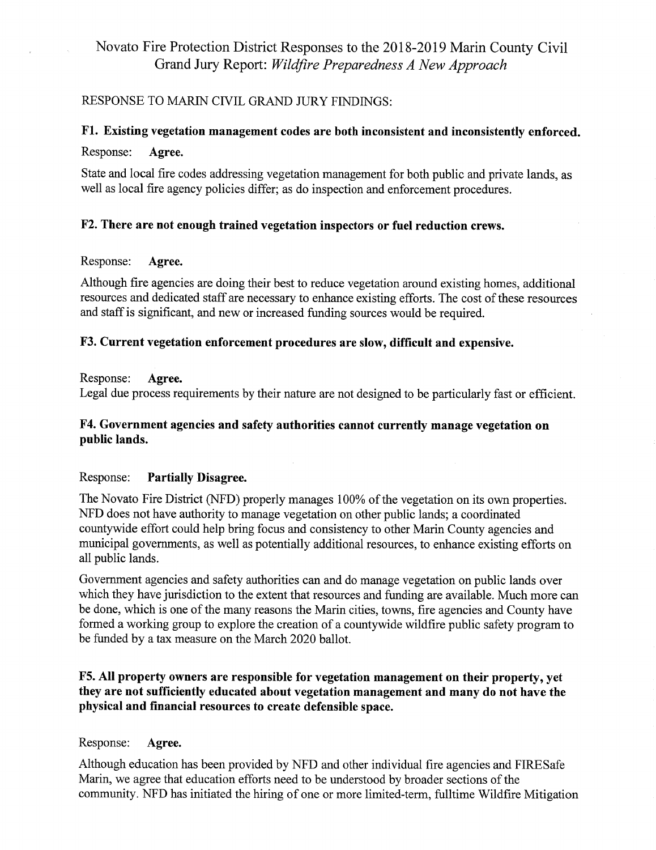## Novato Fire Protection District Responses to the 2018-2019 Marin County Civil Grand Jury Report: *Wildfire Preparedness A New Approach*

## RESPONSE TO MARIN CIVIL GRAND JURY FINDINGS:

## F1. Existing vegetation management codes are both inconsistent and inconsistently enforced.

## Response: **Agree.**

State and local fire codes addressing vegetation management for both public and private lands, as well as local fire agency policies differ; as do inspection and enforcement procedures.

## **F2. There are not enough trained vegetation inspectors or fuel reduction crews.**

#### Response: **Agree.**

Although fire agencies are doing their best to reduce vegetation around existing homes, additional resources and dedicated staff are necessary to enhance existing efforts. The cost of these resources and staff is significant, and new or increased funding sources would be required.

## **F3. Current vegetation enforcement procedures are slow, difficult and expensive.**

Response: **Agree.** 

Legal due process requirements by their nature are not designed to be particularly fast or efficient.

## **F4. Government agencies and safety authorities cannot currently manage vegetation on public lands.**

## Response: **Partially Disagree.**

The Novato Fire District (NFD) properly manages 100% of the vegetation on its own properties. NFD does not have authority to manage vegetation on other public lands; a coordinated countywide effort could help bring focus and consistency to other Marin County agencies and municipal governments, as well as potentially additional resources, to enhance existing efforts on all public lands.

Government agencies and safety authorities can and do manage vegetation on public lands over which they have jurisdiction to the extent that resources and funding are available. Much more can be done, which is one of the many reasons the Marin cities, towns, fire agencies and County have formed a working group to explore the creation of a countywide wildfire public safety program to be funded by a tax measure on the March 2020 ballot.

## **F5. All property owners are responsible for vegetation management on their property, yet they are not sufficiently educated about vegetation management and many do not have the physical and financial resources to create defensible space.**

## Response: **Agree.**

Although education has been provided by NFD and other individual fire agencies and FIRESafe Marin, we agree that education efforts need to be understood by broader sections of the community. NFD has initiated the hiring of one or more limited-term, fulltime Wildfire Mitigation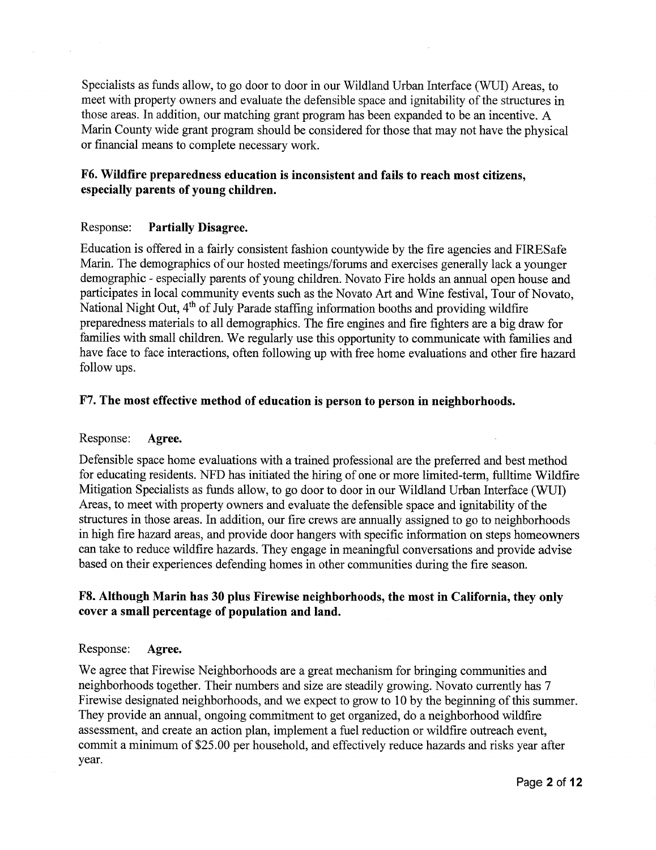Specialists as funds allow, to go door to door in our Wildland Urban Interface (WUI) Areas, to meet with property owners and evaluate the defensible space and ignitability of the structures in those areas. In addition, our matching grant program has been expanded to be an incentive. A Marin County wide grant program should be considered for those that may not have the physical or financial means to complete necessary work.

## **F6. Wildfire preparedness education is inconsistent and fails to reach most citizens, especially parents of young children.**

#### Response: **Partially Disagree.**

Education is offered in a fairly consistent fashion countywide by the fire agencies and FIRESafe Marin. The demographics of our hosted meetings/forums and exercises generally lack a younger demographic - especially parents of young children. Novato Fire holds an annual open house and participates in local community events such as the Novato Art and Wine festival, Tour of Novato, National Night Out, 4<sup>th</sup> of July Parade staffing information booths and providing wildfire preparedness materials to all demographics. The fire engines and fire fighters are a big draw for families with small children. We regularly use this opportunity to communicate with families and have face to face interactions, often following up with free home evaluations and other fire hazard follow ups.

#### **F7. The most effective method of education is person to person in neighborhoods.**

#### Response: **Agree.**

Defensible space home evaluations with a trained professional are the preferred and best method for educating residents. NFD has initiated the hiring of one or more limited-term, fulltime Wildfire Mitigation Specialists as funds allow, to go door to door in our Wildland Urban Interface (WUI) Areas, to meet with property owners and evaluate the defensible space and ignitability of the structures in those areas. In addition, our fire crews are annually assigned to go to neighborhoods in high fire hazard areas, and provide door hangers with specific information on steps homeowners can take to reduce wildfire hazards. They engage in meaningful conversations and provide advise based on their experiences defending homes in other communities during the fire season.

## F8. Although Marin has 30 plus Firewise neighborhoods, the most in California, they only **cover a small percentage of population and land.**

#### Response: **Agree.**

We agree that Firewise Neighborhoods are a great mechanism for bringing communities and neighborhoods together. Their numbers and size are steadily growing. Novato currently has 7 Firewise designated neighborhoods, and we expect to grow to 10 by the beginning of this summer. They provide an annual, ongoing commitment to get organized, do a neighborhood wildfire assessment, and create an action plan, implement a fuel reduction or wildfire outreach event, commit a minimum of \$25.00 per household, and effectively reduce hazards and risks year after year.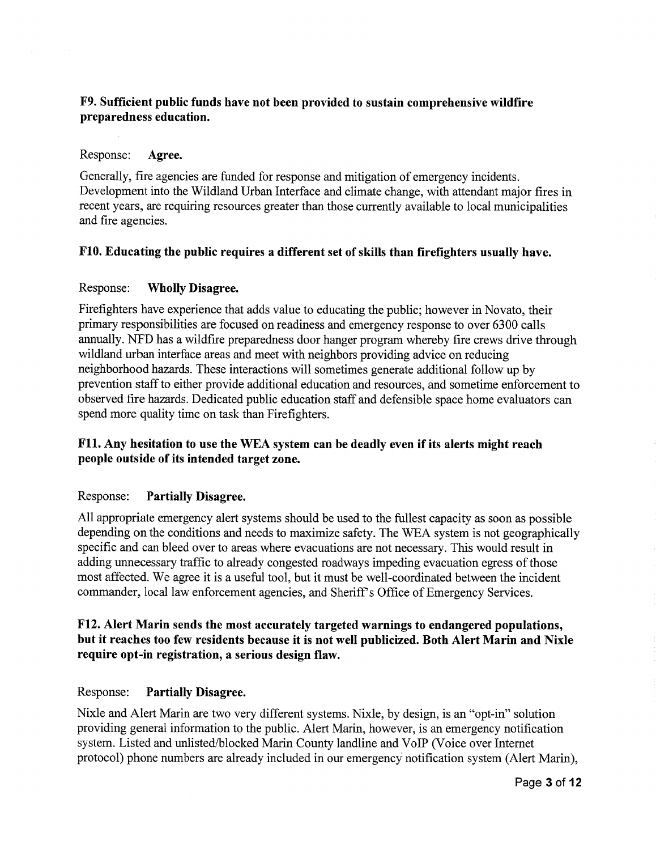## F9. Sufficient public funds have not been provided to sustain comprehensive wildfire preparedness education.

#### Response: Agree.

Generally, fire agencies are funded for response and mitigation of emergency incidents. Development into the Wildland Urban Interface and climate change, with attendant major fires in recent years, are requiring resources greater than those currently available to local municipalities and fire agencies.

#### F10. Educating the public requires a different set of skills than firefighters usually have.

#### Response: Wholly Disagree.

Firefighters have experience that adds value to educating the public; however in Novato, their primary responsibilities are focused on readiness and emergency response to over 6300 calls annually. NFD has a wildfire preparedness door hanger program whereby fire crews drive through wildland urban interface areas and meet with neighbors providing advice on reducing neighborhood hazards. These interactions will sometimes generate additional follow up by prevention staff to either provide additional education and resources, and sometime enforcement to observed fire hazards. Dedicated public education staff and defensible space home evaluators can spend more quality time on task than Firefighters.

## F11. Any hesitation to use the WEA system can be deadly even if its alerts might reach people outside of its intended target zone.

#### Response: Partially Disagree.

All appropriate emergency alert systems should be used to the fullest capacity as soon as possible depending on the conditions and needs to maximize safety. The WEA system is not geographically specific and can bleed over to areas where evacuations are not necessary. This would result in adding unnecessary traffic to already congested roadways impeding evacuation egress of those most affected. We agree it is a useful tool, but it must be well-coordinated between the incident commander, local law enforcement agencies, and Sheriff's Office of Emergency Services.

## F12. Alert Marin sends the most accurately targeted warnings to endangered populations, but it reaches too few residents because it is not well publicized. Both Alert Marin and Nixle require opt-in registration, a serious design flaw.

#### Response: Partially Disagree.

Nixle and Alert Marin are two very different systems. Nixle, by design, is an "opt-in" solution providing general information to the public. Alert Marin, however, is an emergency notification system. Listed and unlisted/blocked Marin County landline and VoIP (Voice over Internet protocol) phone numbers are already included in our emergency notification system (Alert Marin),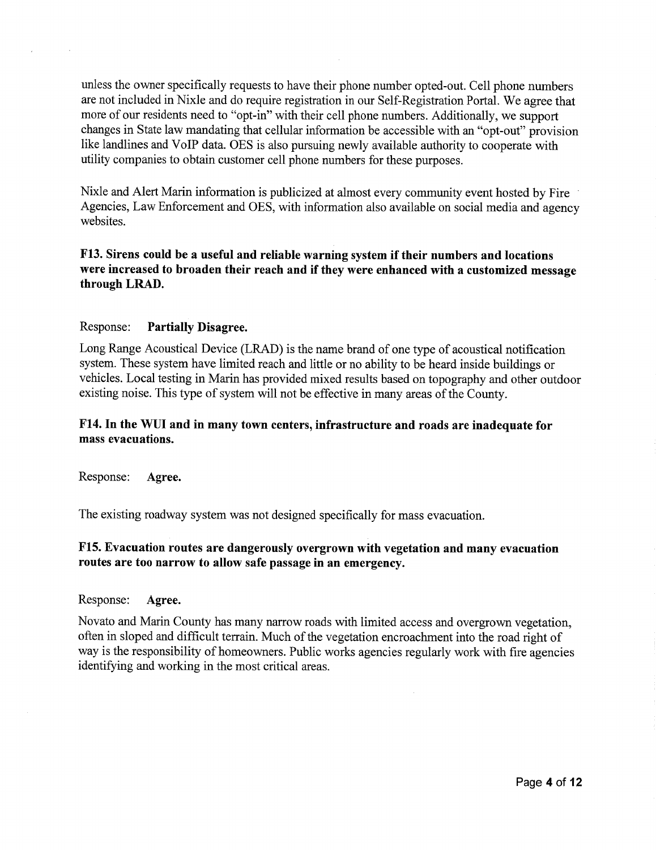unless the owner specifically requests to have their phone number opted-out. Cell phone numbers are not included in Nixle and do require registration in our Self-Registration Portal. We agree that more of our residents need to "opt-in" with their cell phone numbers. Additionally, we support changes in State law mandating that cellular information be accessible with an "opt-out" provision like landlines and VoIP data. OES is also pursuing newly available authority to cooperate with utility companies to obtain customer cell phone numbers for these purposes.

Nixle and Alert Marin information is publicized at almost every community event hosted by Fire Agencies, Law Enforcement and OES, with information also available on social media and agency websites.

## **F13. Sirens could be a useful and reliable warning system if their numbers and locations were increased to broaden their reach and if they were enhanced with a customized message through LRAD.**

#### Response: **Partially Disagree.**

Long Range Acoustical Device (LRAD) is the name brand of one type of acoustical notification system. These system have limited reach and little or no ability to be heard inside buildings or vehicles. Local testing in Marin has provided mixed results based on topography and other outdoor existing noise. This type of system will not be effective in many areas of the County.

## **F14. In the WUI and in many town centers, infrastructure and roads are inadequate for mass evacuations.**

Response: **Agree.** 

The existing roadway system was not designed specifically for mass evacuation.

## **F15. Evacuation routes are dangerously overgrown with vegetation and many evacuation routes are too narrow to allow safe passage in an emergency.**

#### Response: **Agree.**

Novato and Marin County has many narrow roads with limited access and overgrown vegetation, often in sloped and difficult terrain. Much of the vegetation encroachment into the road right of way is the responsibility of homeowners. Public works agencies regularly work with fire agencies identifying and working in the most critical areas.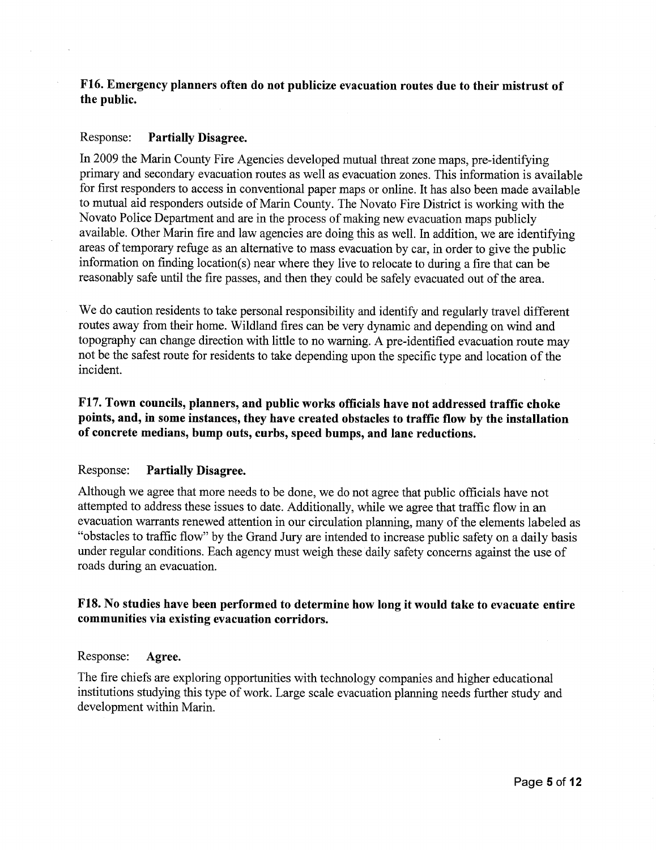## **F16. Emergency planners often do not publicize evacuation routes due to their mistrust of the public.**

#### Response: **Partially Disagree.**

In 2009 the Marin County Fire Agencies developed mutual threat zone maps, pre-identifying primary and secondary evacuation routes as well as evacuation zones. This information is available for first responders to access in conventional paper maps or online. It has also been made available to mutual aid responders outside of Marin County. The Novato Fire District is working with the Novato Police Department and are in the process of making new evacuation maps publicly available. Other Marin fire and law agencies are doing this as well. In addition, we are identifying areas of temporary refuge as an alternative to mass evacuation by car, in order to give the public information on finding location(s) near where they live to relocate to during a fire that can be reasonably safe until the fire passes, and then they could be safely evacuated out of the area.

We do caution residents to take personal responsibility and identify and regularly travel different routes away from their home. Wildland fires can be very dynamic and depending on wind and topography can change direction with little to no warning. A pre-identified evacuation route may not be the safest route for residents to take depending upon the specific type and location of the incident.

## **F17. Town councils, planners, and public works officials have not addressed traffic choke points, and, in some instances, they have created obstacles to traffic flow by the installation of concrete medians, bump outs, curbs, speed bumps, and lane reductions.**

#### Response: **Partially Disagree.**

Although we agree that more needs to be done, we do not agree that public officials have not attempted to address these issues to date. Additionally, while we agree that traffic flow in an evacuation warrants renewed attention in our circulation planning, many of the elements labeled as "obstacles to traffic flow" by the Grand Jury are intended to increase public safety on a daily basis under regular conditions. Each agency must weigh these daily safety concerns against the use of roads during an evacuation.

#### **F18. No studies have been performed to determine how long it would take to evacuate entire communities via existing evacuation corridors.**

#### Response: **Agree.**

The fire chiefs are exploring opportunities with technology companies and higher educational institutions studying this type of work. Large scale evacuation planning needs further study and development within Marin.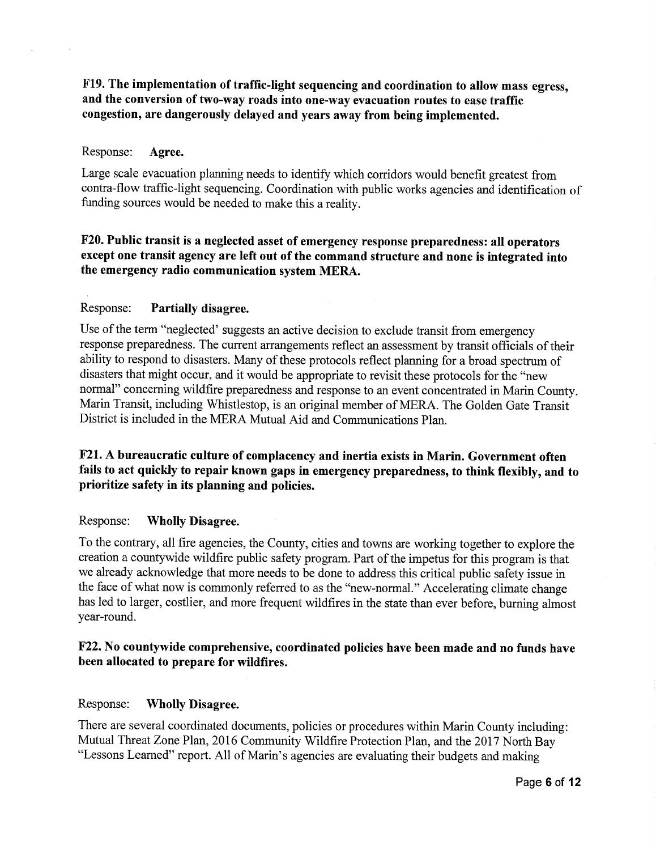F19. The implementation of traffic-light sequencing and coordination to allow mass egress, and the conversion of two-way roads into one-way evacuation routes to ease traffic congestion, are dangerously delayed and years away from being implemented.

#### Response: Agree.

Large scale evacuation planning needs to identify which corridors would benefit greatest from contra-flow traffic-light sequencing. Coordination with public works agencies and identification of funding sources would be needed to make this a reality.

## F20. Public transit is a neglected asset of emergency response preparedness: all operators except one transit agency are left out of the command structure and none is integrated into the emergency radio communication system MERA.

## Response: Partially disagree.

Use of the term "neglected' suggests an active decision to exclude transit from emergency response preparedness. The current arrangements reflect an assessment by transit officials of their ability to respond to disasters. Many of these protocols reflect planning for a broad spectrum of disasters that might occur, and it would be appropriate to revisit these protocols for the "new normal" concerning wildfire preparedness and response to an event concentrated in Marin County. Marin Transit, including Whistlestop, is an original member of MERA. The Golden Gate Transit District is included in the MERA Mutual Aid and Communications Plan.

## F21. A bureaucratic culture of complacency and inertia exists in Marin. Government often fails to act quickly to repair known gaps in emergency preparedness, to think flexibly, and to prioritize safety in its planning and policies.

#### Response: Wholly Disagree.

To the contrary, all fire agencies, the County, cities and towns are working together to explore the creation a countywide wildfire public safety program. Part of the impetus for this program is that we already acknowledge that more needs to be done to address this critical public safety issue in the face of what now is commonly referred to as the "new-normal." Accelerating climate change has led to larger, costlier, and more frequent wildfires in the state than ever before, burning almost year-round.

## F22. No countywide comprehensive, coordinated policies have been made and no funds have been allocated to prepare for wildfires.

#### Response: Wholly Disagree.

There are several coordinated documents, policies or procedures within Marin County including: Mutual Threat Zone Plan, 2016 Community Wildfire Protection Plan, and the 2017 North Bay "Lessons Learned" report. All of Marin's agencies are evaluating their budgets and making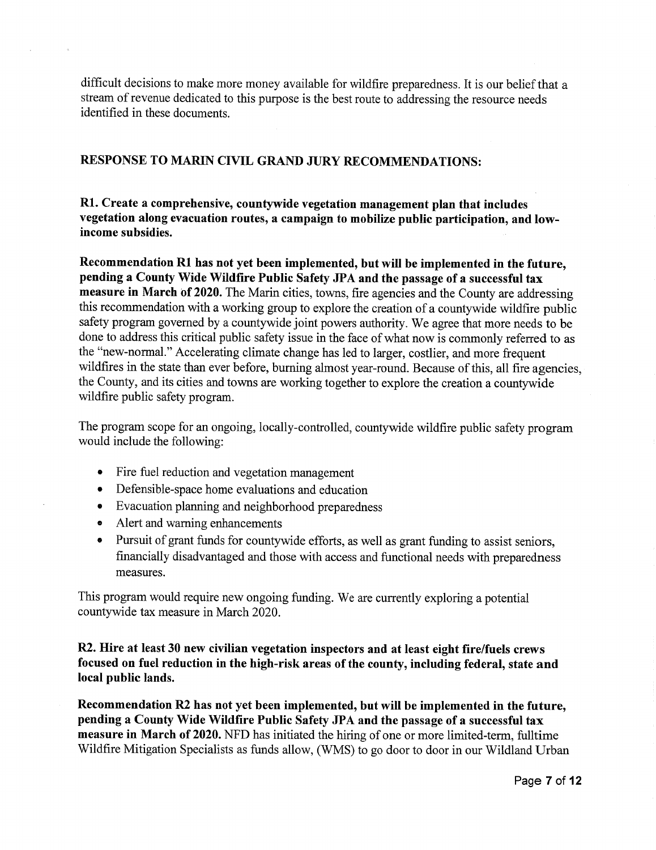difficult decisions to make more money available for wildfire preparedness. It is our belief that a stream of revenue dedicated to this purpose is the best route to addressing the resource needs identified in these documents.

## **RESPONSE TO MARIN CIVIL GRAND JURY RECOMMENDATIONS:**

**Rl. Create a comprehensive, countywide vegetation management plan that includes vegetation along evacuation routes, a campaign to mobilize public participation, and lowincome subsidies.** 

Recommendation R1 has not yet been implemented, but will be implemented in the future, **pending a County Wide Wildfire Public Safety JPA and the passage of a successful tax**  measure in March of 2020. The Marin cities, towns, fire agencies and the County are addressing this recommendation with a working group to explore the creation of a countywide wildfire public safety program governed by a countywide joint powers authority. We agree that more needs to be done to address this critical public safety issue in the face of what now is commonly referred to as the "new-normal." Accelerating climate change has led to larger, costlier, and more frequent wildfires in the state than ever before, burning almost year-round. Because of this, all fire agencies, the County, and its cities and towns are working together to explore the creation a countywide wildfire public safety program.

The program scope for an ongoing, locally-controlled, countywide wildfire public safety program would include the following:

- Fire fuel reduction and vegetation management
- Defensible-space home evaluations and education
- Evacuation planning and neighborhood preparedness
- Alert and warning enhancements
- Pursuit of grant funds for countywide efforts, as well as grant funding to assist seniors, financially disadvantaged and those with access and functional needs with preparedness measures.

This program would require new ongoing funding. We are currently exploring a potential countywide tax measure in March 2020.

**R2. Hire at least 30 new civilian vegetation inspectors and at least eight fire/fuels crews focused on fuel reduction in the high-risk areas of the county, including federal, state and local public lands.** 

**Recommendation R2 has not yet been implemented, but will be implemented in the future, pending a County Wide Wildfire Public Safety JPA and the passage of a successful tax measure in March of 2020.** NFD has initiated the hiring of one or more limited-term, fulltime Wildfire Mitigation Specialists as funds allow, (WMS) to go door to door in our Wildland Urban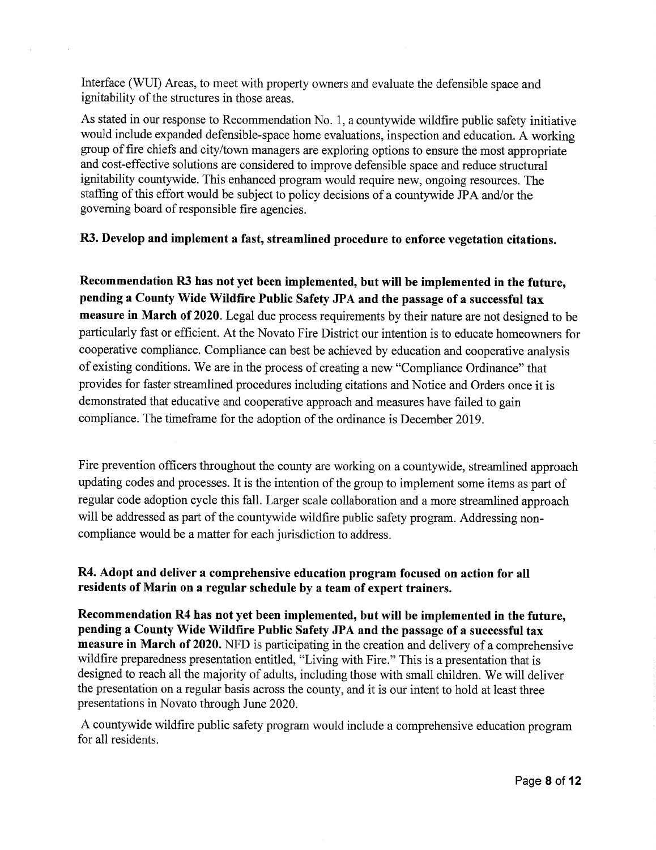Interface (WUI) Areas, to meet with property owners and evaluate the defensible space and ignitability of the structures in those areas.

As stated in our response to Recommendation No. 1, a countywide wildfire public safety initiative would include expanded defensible-space home evaluations, inspection and education. A working group of fire chiefs and city/town managers are exploring options to ensure the most appropriate and cost-effective solutions are considered to improve defensible space and reduce structural ignitability countywide. This enhanced program would require new, ongoing resources. The staffing of this effort would be subject to policy decisions of a countywide JPA and/or the governing board of responsible fire agencies.

## R3. Develop and implement a fast, streamlined procedure to enforce vegetation citations.

Recommendation R3 has not yet been implemented, but will be implemented in the future, pending a County Wide Wildfire Public Safety JPA and the passage of a successful tax measure in March of 2020. Legal due process requirements by their nature are not designed to be particularly fast or efficient. At the Novato Fire District our intention is to educate homeowners for cooperative compliance. Compliance can best be achieved by education and cooperative analysis of existing conditions. We are in the process of creating a new "Compliance Ordinance" that provides for faster streamlined procedures including citations and Notice and Orders once it is demonstrated that educative and cooperative approach and measures have failed to gain compliance. The timeframe for the adoption of the ordinance is December 2019.

Fire prevention officers throughout the county are working on a countywide, streamlined approach updating codes and processes. It is the intention of the group to implement some items as part of regular code adoption cycle this fall. Larger scale collaboration and a more streamlined approach will be addressed as part of the countywide wildfire public safety program. Addressing noncompliance would be a matter for each jurisdiction to address.

## R4. Adopt and deliver a comprehensive education program focused on action for all residents of Marin on a regular schedule by a team of expert trainers.

Recommendation R4 has not yet been implemented, but will be implemented in the future, pending a County Wide Wildfire Public Safety JPA and the passage of a successful tax measure in March of 2020. NFD is participating in the creation and delivery of a comprehensive wildfire preparedness presentation entitled, "Living with Fire." This is a presentation that is designed to reach all the majority of adults, including those with small children. We will deliver the presentation on a regular basis across the county, and it is our intent to hold at least three presentations in Novato through June 2020.

A countywide wildfire public safety program would include a comprehensive education program for all residents.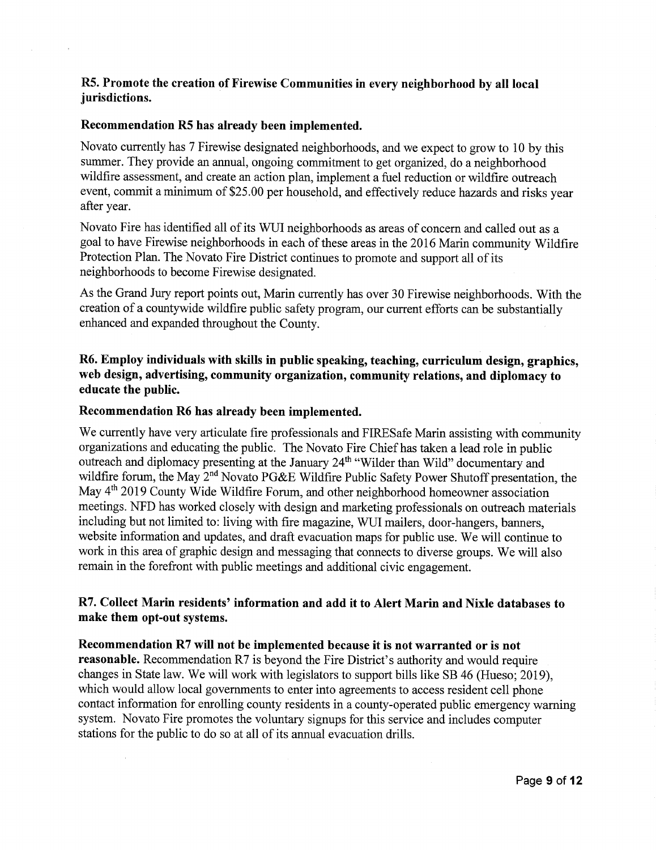## R5. Promote the creation of Firewise Communities in every neighborhood by all local jurisdictions.

#### Recommendation R5 has already been implemented.

Novato currently has 7 Firewise designated neighborhoods, and we expect to grow to 10 by this summer. They provide an annual, ongoing commitment to get organized, do a neighborhood wildfire assessment, and create an action plan, implement a fuel reduction or wildfire outreach event, commit a minimum of \$25.00 per household, and effectively reduce hazards and risks year after year.

Novato Fire has identified all of its WUI neighborhoods as areas of concern and called out as a goal to have Firewise neighborhoods in each of these areas in the 2016 Marin community Wildfire Protection Plan. The Novato Fire District continues to promote and support all of its neighborhoods to become Firewise designated.

As the Grand Jury report points out, Marin currently has over 30 Firewise neighborhoods. With the creation of a countywide wildfire public safety program, our current efforts can be substantially enhanced and expanded throughout the County.

R6. Employ individuals with skills in public speaking, teaching, curriculum design, graphics, web design, advertising, community organization, community relations, and diplomacy to educate the public.

#### Recommendation R6 has already been implemented.

We currently have very articulate fire professionals and FIRESafe Marin assisting with community organizations and educating the public. The Novato Fire Chief has taken a lead role in public outreach and diplomacy presenting at the January 24<sup>th</sup> "Wilder than Wild" documentary and wildfire forum, the May 2<sup>nd</sup> Novato PG&E Wildfire Public Safety Power Shutoff presentation, the May 4<sup>th</sup> 2019 County Wide Wildfire Forum, and other neighborhood homeowner association meetings. NFD has worked closely with design and marketing professionals on outreach materials including but not limited to: living with fire magazine, WUI mailers, door-hangers, banners, website information and updates, and draft evacuation maps for public use. We will continue to work in this area of graphic design and messaging that connects to diverse groups. We will also remain in the forefront with public meetings and additional civic engagement.

## R7. Collect Marin residents' information and add it to Alert Marin and Nixle databases to make them opt-out systems.

Recommendation R7 will not be implemented because it is not warranted or is not reasonable. Recommendation R7 is beyond the Fire District's authority and would require changes in State law. We will work with legislators to support bills like SB 46 (Hueso; 2019), which would allow local governments to enter into agreements to access resident cell phone contact information for enrolling county residents in a county-operated public emergency warning system. Novato Fire promotes the voluntary signups for this service and includes computer stations for the public to do so at all of its annual evacuation drills.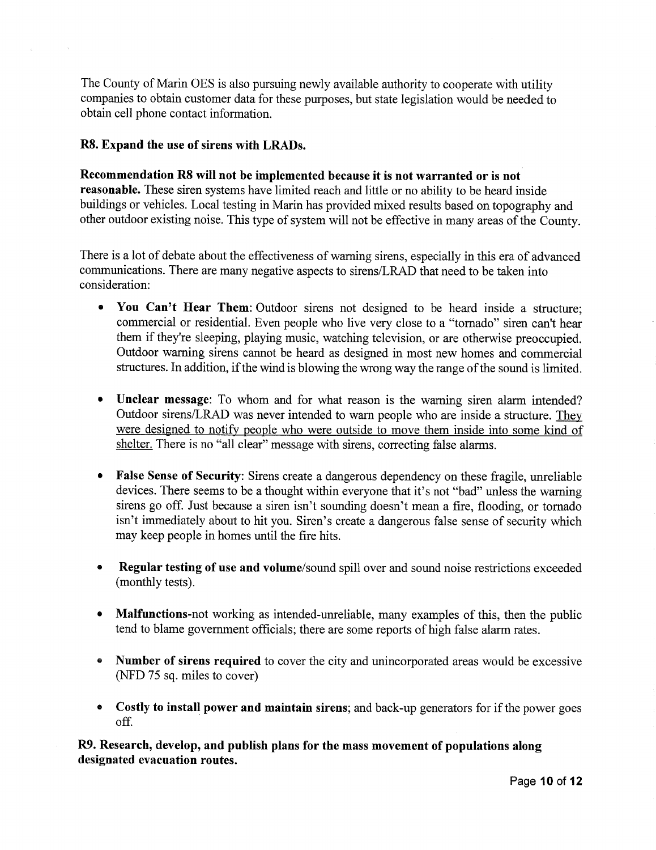The County of Marin OES is also pursuing newly available authority to cooperate with utility companies to obtain customer data for these purposes, but state legislation would be needed to obtain cell phone contact information.

## **R8. Expand the use of sirens with LRADs.**

**Recommendation R8 will not be implemented because it is not warranted or is not reasonable.** These siren systems have limited reach and little or no ability to be heard inside buildings or vehicles. Local testing in Marin has provided mixed results based on topography and other outdoor existing noise. This type of system will not be effective in many areas of the County.

There is a lot of debate about the effectiveness of warning sirens, especially in this era of advanced communications. There are many negative aspects to sirens/LRAD that need to be taken into consideration:

- **You Can't Hear Them:** Outdoor sirens not designed to be heard inside a structure; commercial or residential. Even people who live very close to a "tornado" siren can't hear them if they're sleeping, playing music, watching television, or are otherwise preoccupied. Outdoor warning sirens cannot be heard as designed in most new homes and commercial structures. In addition, if the wind is blowing the wrong way the range of the sound is limited.
- **Unclear message:** To whom and for what reason is the warning siren alarm intended? Outdoor sirens/LRAD was never intended to warn people who are inside a structure. They were designed to notify people who were outside to move them inside into some kind of shelter. There is no "all clear" message with sirens, correcting false alarms.
- **False Sense of Security:** Sirens create a dangerous dependency on these fragile, unreliable devices. There seems to be a thought within everyone that it's not "bad" unless the warning sirens go off. Just because a siren isn't sounding doesn't mean a fire, flooding, or tornado isn't immediately about to hit you. Siren's create a dangerous false sense of security which may keep people in homes until the fire hits.
- **Regular testing of use and volume/sound** spill over and sound noise restrictions exceeded (monthly tests).
- **Malfunctions-not** working as intended-unreliable, many examples of this, then the public tend to blame government officials; there are some reports of high false alarm rates.
- **<sup>G</sup>Number of sirens required** to cover the city and unincorporated areas would be excessive (NFD 75 sq. miles to cover)
- **Costly to install power and maintain sirens;** and back-up generators for if the power goes off.

**R9. Research, develop, and publish plans for the mass movement of populations along designated evacuation routes.**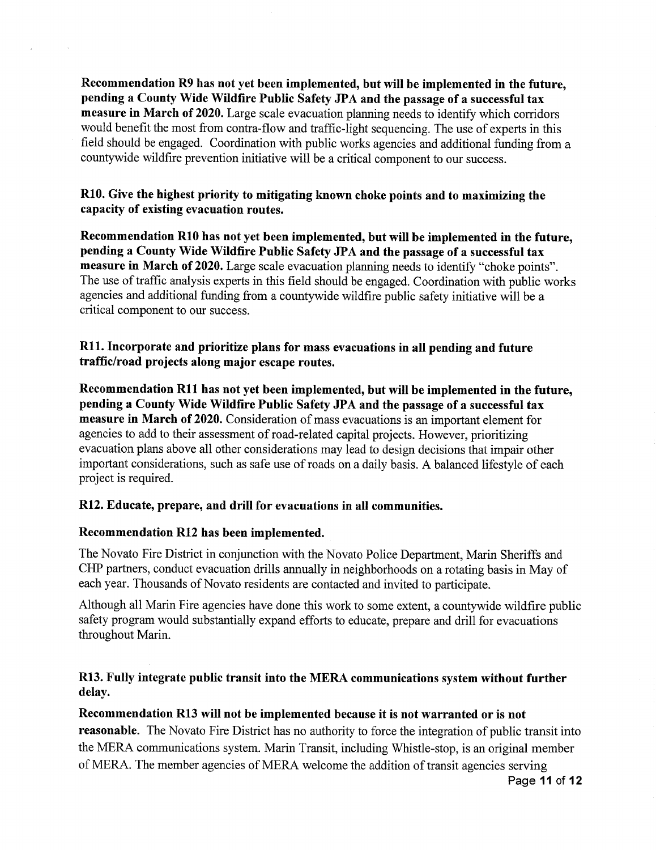**Recommendation R9 has not yet been implemented, but will be implemented in the future, pending a County Wide Wildfire Public Safety JPA and the passage of a successful tax measure in March of 2020.** Large scale evacuation planning needs to identify which corridors would benefit the most from contra-flow and traffic-light sequencing. The use of experts in this field should be engaged. Coordination with public works agencies and additional funding from a countywide wildfire prevention initiative will be a critical component to our success.

## **R10. Give the highest priority to mitigating known choke points and to maximizing the capacity of existing evacuation routes.**

**Recommendation R10 has not yet been implemented, but will be implemented in the future, pending a County Wide Wildfire Public Safety JPA and the passage of a successful tax measure in March of 2020.** Large scale evacuation planning needs to identify "choke points". The use of traffic analysis experts in this field should be engaged. Coordination with public works agencies and additional funding from a countywide wildfire public safety initiative will be a critical component to our success.

## **R11. Incorporate and prioritize plans for mass evacuations in all pending and future traffic/road projects along major escape routes.**

**Recommendation R11 has not yet been implemented, but will be implemented in the future, pending a County Wide Wildfire Public Safety JPA and the passage of a successful tax measure in March of 2020.** Consideration of mass evacuations is an important element for agencies to add to their assessment of road-related capital projects. However, prioritizing evacuation plans above all other considerations may lead to design decisions that impair other important considerations, such as safe use of roads on a daily basis. A balanced lifestyle of each project is required.

## **R12. Educate, prepare, and drill for evacuations in all communities.**

## **Recommendation R12 has been implemented.**

The Novato Fire District in conjunction with the Novato Police Department, Marin Sheriffs and CHP partners, conduct evacuation drills annually in neighborhoods on a rotating basis in May of each year. Thousands of Novato residents are contacted and invited to participate.

Although all Marin Fire agencies have done this work to some extent, a countywide wildfire public safety program would substantially expand efforts to educate, prepare and drill for evacuations throughout Marin.

## **R13. Fully integrate public transit into the MERA communications system without further delay.**

## **Recommendation R13 will not be implemented because it is not warranted or is not**

**reasonable.** The Novato Fire District has no authority to force the integration of public transit into the MERA communications system. Marin Transit, including Whistle-stop, is an original member of MERA. The member agencies of MERA welcome the addition of transit agencies serving